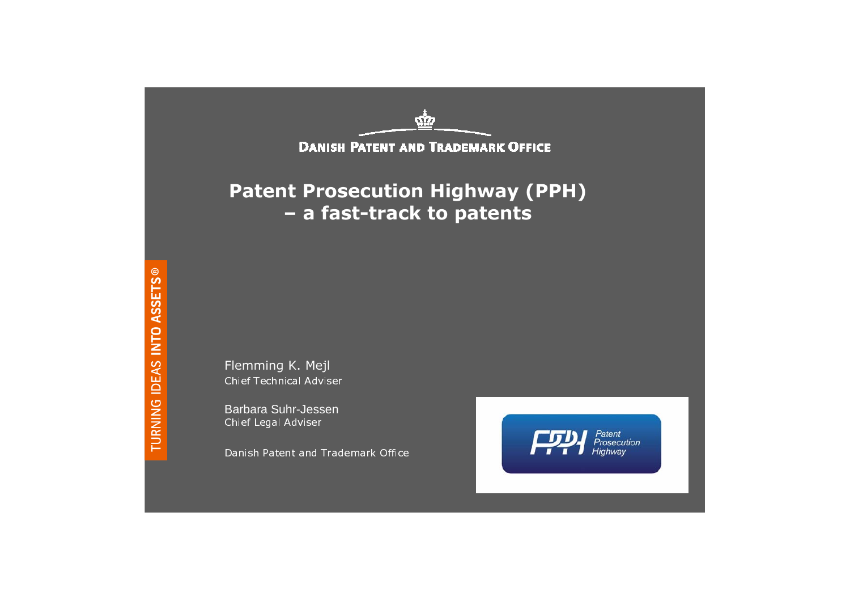

Flemming K. Mejl Chief Technical Adviser

Barbara Suhr-JessenChief Legal Adviser

Danish Patent and Trademark Office

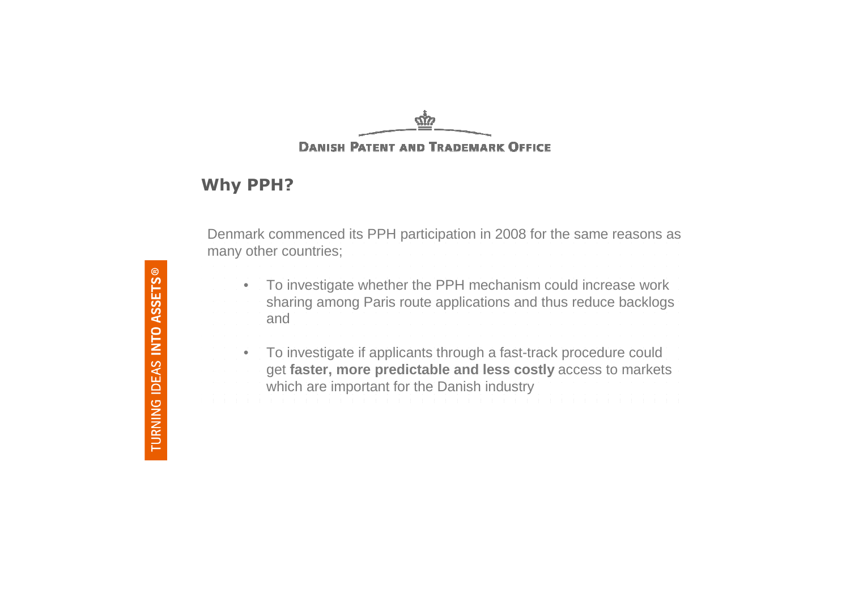#### 57 **DANISH PATENT AND TRADEMARK OFFICE**

#### Why PPH?

Denmark commenced its PPH participation in 2008 for the same reasons as many other countries;

- $\bullet$  To investigate whether the PPH mechanism could increase work sharing among Paris route applications and thus reduce backlogs
- and

• To investigate if applicants through a fast-track procedure could get **faster, more predictable and less costly** access to markets which are important for the Danish industry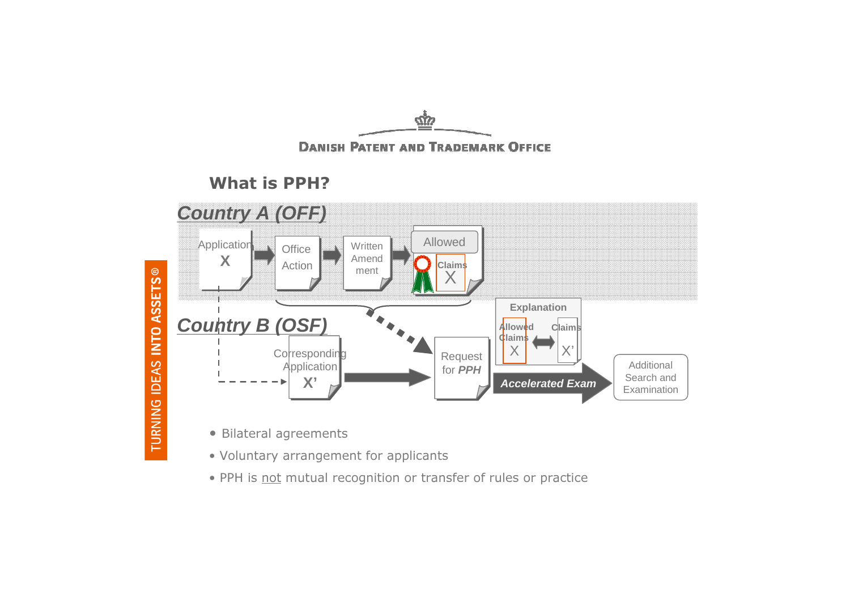

 $\tilde{w}$ 

- Voluntary arrangement for applicants
- PPH is not mutual recognition or transfer of rules or practice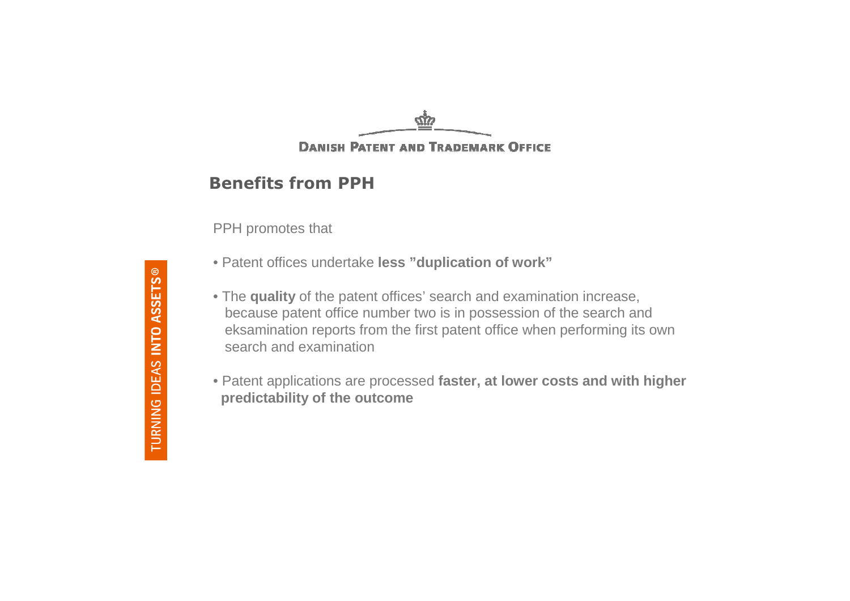### 57 **DANISH PATENT AND TRADEMARK OFFICE**

### Benefits from PPH

PPH promotes that

- Patent offices undertake **less "duplication of work"**
- The **quality** of the patent offices' search and examination increase, because patent office number two is in possession of the search and eksamination reports from the first patent office when performing its own search and examination
- Patent applications are processed **faster, at lower costs and with higher predictability of the outcome**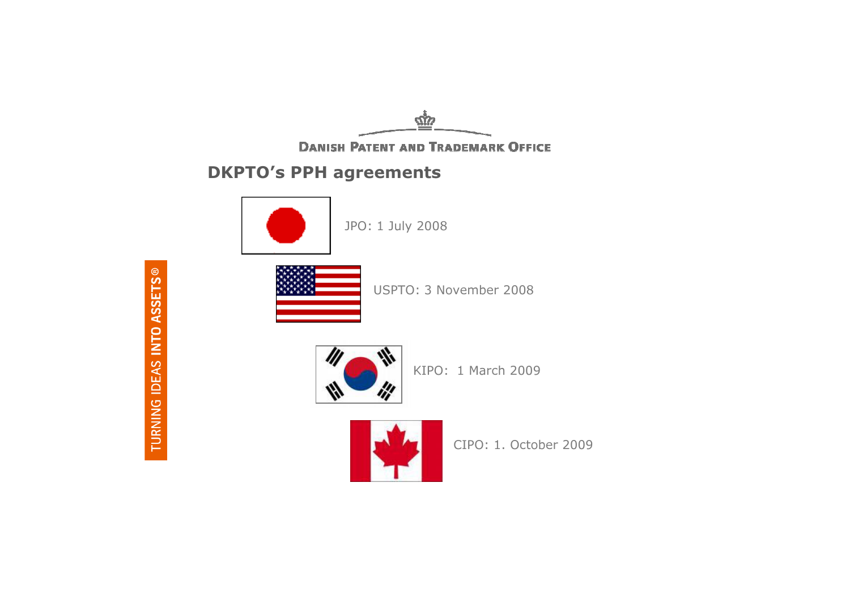$\omega$ 

**DANISH PATENT AND TRADEMARK OFFICE** 

# DKPTO's PPH agreements



JPO: 1 July 2008



USPTO: 3 November 2008



KIPO: 1 March 2009



CIPO: 1. October 2009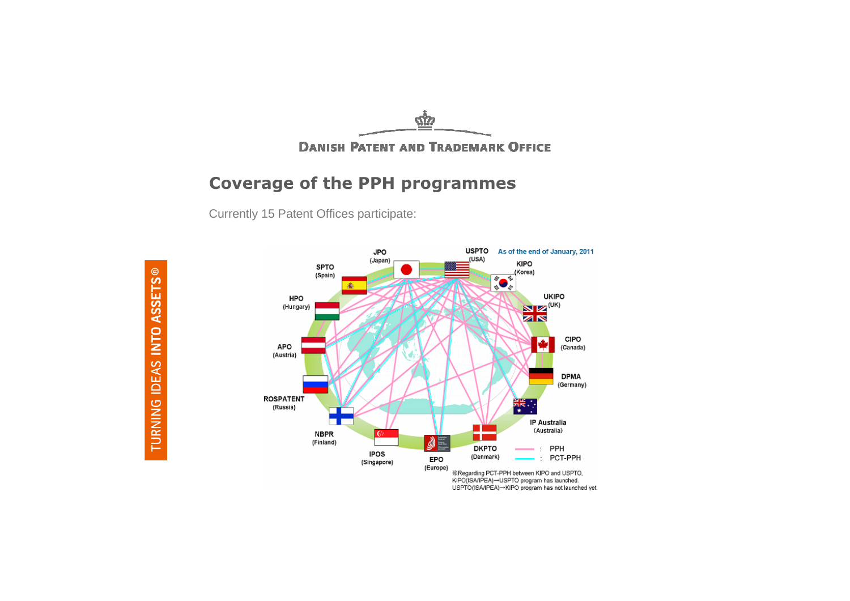

**DANISH PATENT AND TRADEMARK OFFICE** 

### Coverage of the PPH programmes

Currently 15 Patent Offices participate:



TURNING IDEAS INTO ASSETS®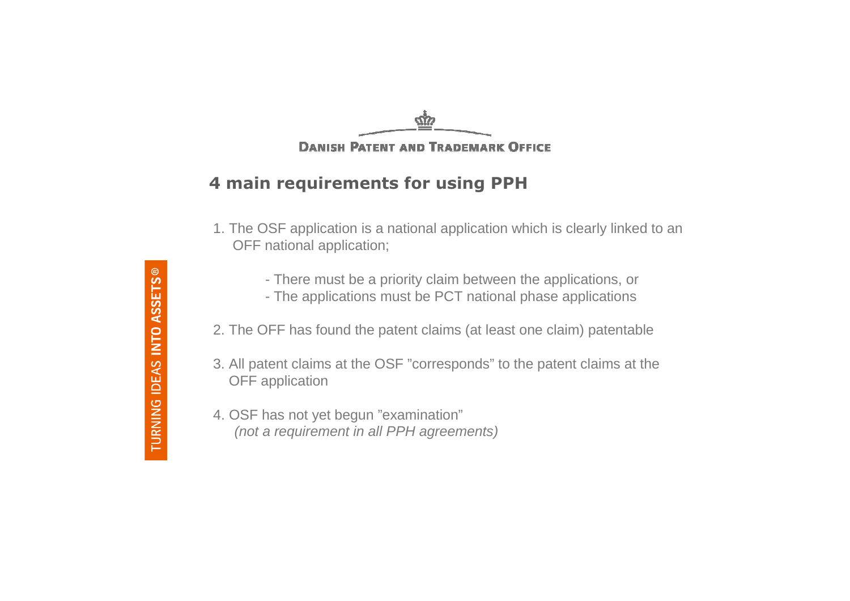#### σ'n **DANISH PATENT AND TRADEMARK OFFICE**

## 4 main requirements for using PPH

- 1. The OSF application is a national application which is clearly linked to an OFF national application;
	- There must be a priority claim between the applications, or
	- The applications must be PCT national phase applications
- 2. The OFF has found the patent claims (at least one claim) patentable
- 3. All patent claims at the OSF "corresponds" to the patent claims at the OFF application
- 4. OSF has not yet begun "examination" (not a requirement in all PPH agreements)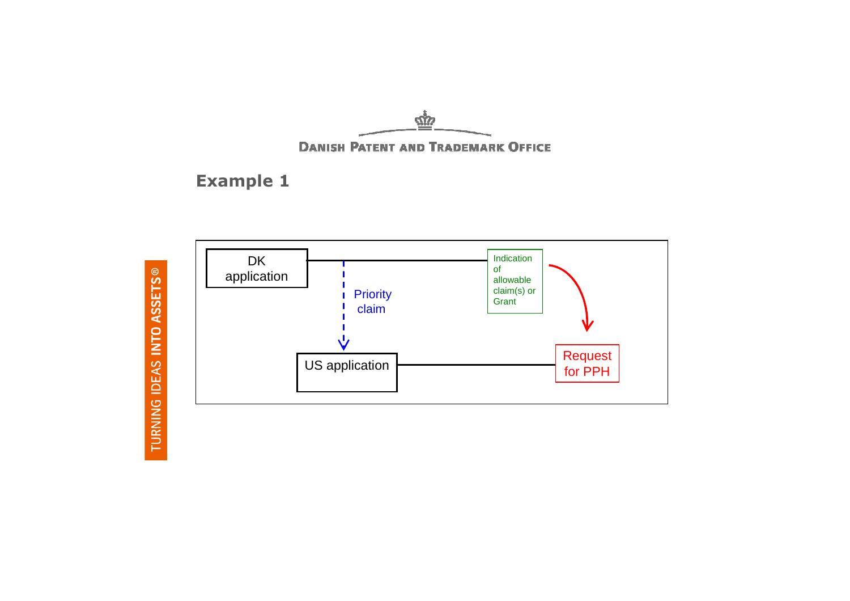

# Example 1



TURNING IDEAS INTO ASSETS®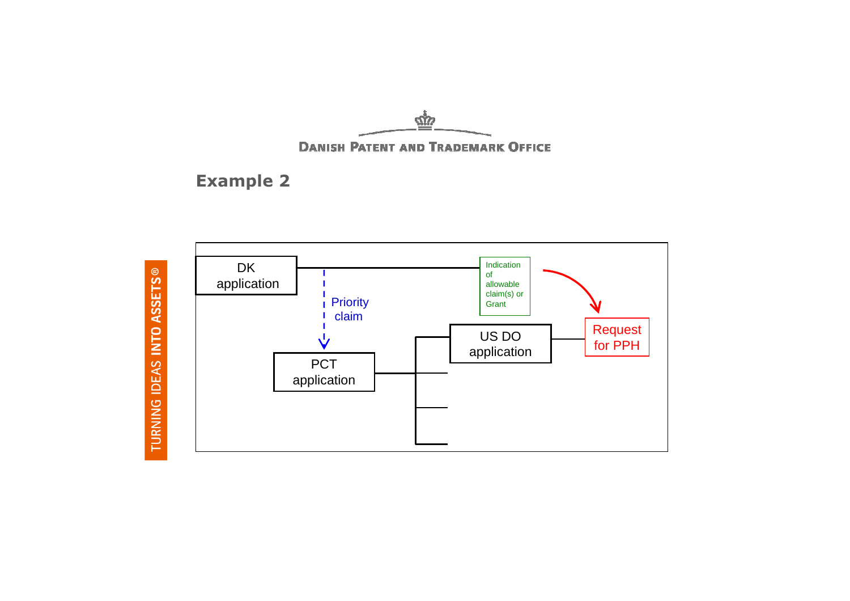



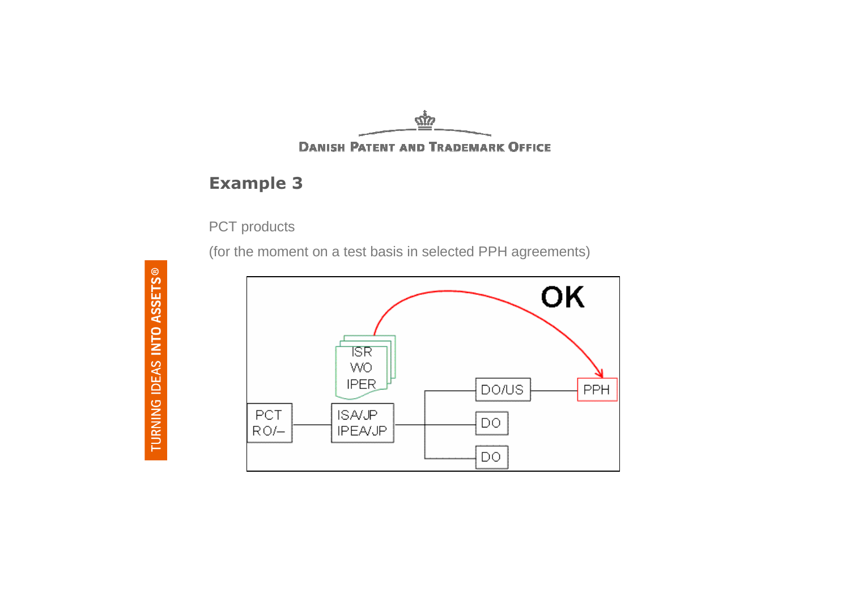

## Example 3

PCT products

(for the moment on a test basis in selected PPH agreements)

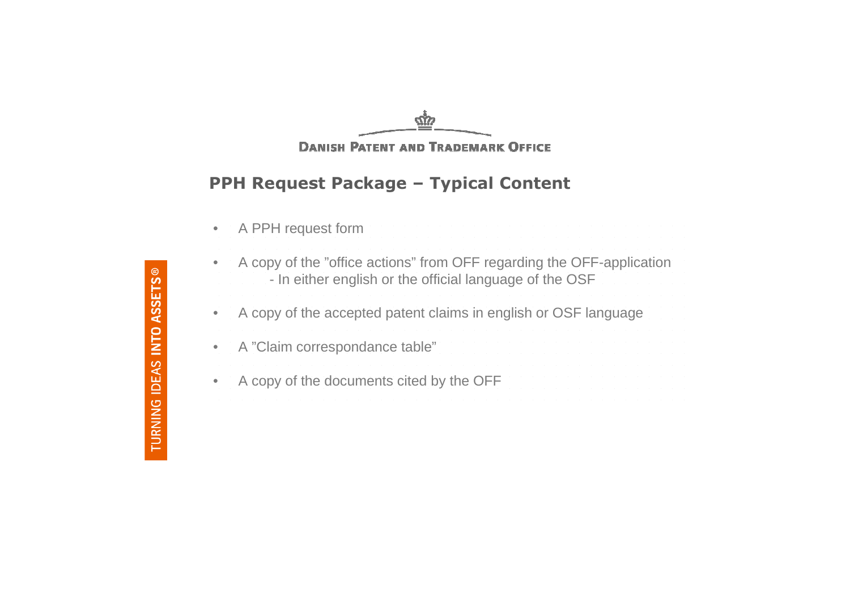<u>сіу</u> **DANISH PATENT AND TRADEMARK OFFICE** 

## PPH Request Package – Typical Content

| $\bullet$ |  |  |  |  | A PPH request form |  |
|-----------|--|--|--|--|--------------------|--|
|           |  |  |  |  |                    |  |

 $\bullet$ A copy of the "office actions" from OFF regarding the OFF-application

|  |  |  |  |  |  | - In either english or the official language of the OSF |  |  |
|--|--|--|--|--|--|---------------------------------------------------------|--|--|
|--|--|--|--|--|--|---------------------------------------------------------|--|--|

 $\bullet$ A copy of the accepted patent claims in english or OSF language

•A "Claim correspondance table"

•A copy of the documents cited by the OFF